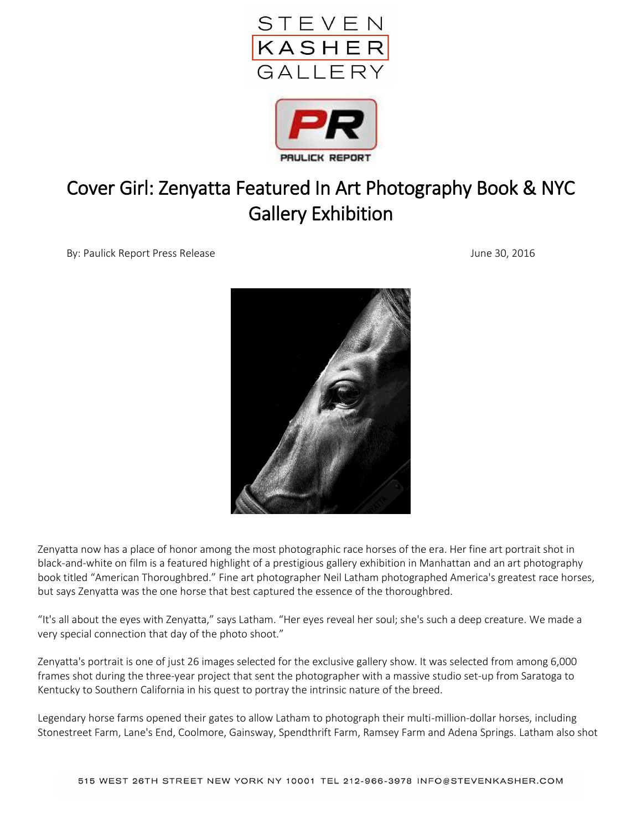



## Cover Girl: Zenyatta Featured In Art Photography Book & NYC Gallery Exhibition

By: Paulick Report Press Release June 30, 2016



Zenyatta now has a place of honor among the most photographic race horses of the era. Her fine art portrait shot in black-and-white on film is a featured highlight of a prestigious gallery exhibition in Manhattan and an art photography book titled "American Thoroughbred." Fine art photographer Neil Latham photographed America's greatest race horses, but says Zenyatta was the one horse that best captured the essence of the thoroughbred.

"It's all about the eyes with Zenyatta," says Latham. "Her eyes reveal her soul; she's such a deep creature. We made a very special connection that day of the photo shoot."

Zenyatta's portrait is one of just 26 images selected for the exclusive gallery show. It was selected from among 6,000 frames shot during the three-year project that sent the photographer with a massive studio set-up from Saratoga to Kentucky to Southern California in his quest to portray the intrinsic nature of the breed.

Legendary horse farms opened their gates to allow Latham to photograph their multi-million-dollar horses, including Stonestreet Farm, Lane's End, Coolmore, Gainsway, Spendthrift Farm, Ramsey Farm and Adena Springs. Latham also shot